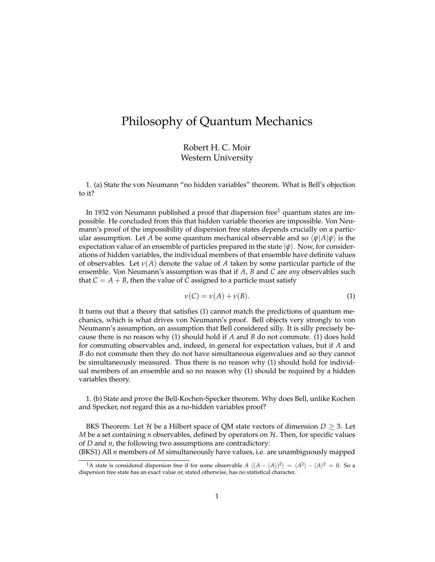## Philosophy of Quantum Mechanics

Robert H. C. Moir Western University

1. (a) State the von Neumann "no hidden variables" theorem. What is Bell's objection to it?

In 1932 von Neumann published a proof that dispersion free<sup>1</sup> quantum states are impossible. He concluded from this that hidden variable theories are impossible. Von Neumann's proof of the impossibility of dispersion free states depends crucially on a particular assumption. Let *A* be some quantum mechanical observable and so  $\langle \psi | A | \psi \rangle$  is the expectation value of an ensemble of particles prepared in the state  $|\psi\rangle$ . Now, for considerations of hidden variables, the individual members of that ensemble have definite values of observables. Let *ν*(*A*) denote the value of *A* taken by some particular particle of the ensemble. Von Neumann's assumption was that if *A*, *B* and *C* are *any* observables such that  $C = A + B$ , then the value of *C* assigned to a particle must satisfy

$$
\nu(C) = \nu(A) + \nu(B). \tag{1}
$$

It turns out that a theory that satisfies (1) cannot match the predictions of quantum mechanics, which is what drives von Neumann's proof. Bell objects very strongly to von Neumann's assumption, an assumption that Bell considered silly. It is silly precisely because there is no reason why (1) should hold if *A* and *B* do not commute. (1) does hold for commuting observables and, indeed, in general for expectation values, but if *A* and *B* do not commute then they do not have simultaneous eigenvalues and so they cannot be simultaneously measured. Thus there is no reason why (1) should hold for individual members of an ensemble and so no reason why (1) should be required by a hidden variables theory.

1. (b) State and prove the Bell-Kochen-Specker theorem. Why does Bell, unlike Kochen and Specker, not regard this as a no-hidden variables proof?

BKS Theorem: Let H be a Hilbert space of QM state vectors of dimension  $D \geq 3$ . Let *M* be a set containing *n* observables, defined by operators on  $H$ . Then, for specific values of *D* and *n*, the following two assumptions are contradictory:

(BKS1) All *n* members of *M* simultaneously have values, i.e. are unambiguously mapped

<sup>&</sup>lt;sup>1</sup>A state is considered dispersion free if for some observable  $A(\langle A - \langle A \rangle)^2 \rangle = \langle A^2 \rangle - \langle A \rangle^2 = 0$ . So a dispersion free state has an exact value or, stated otherwise, has no statistical character.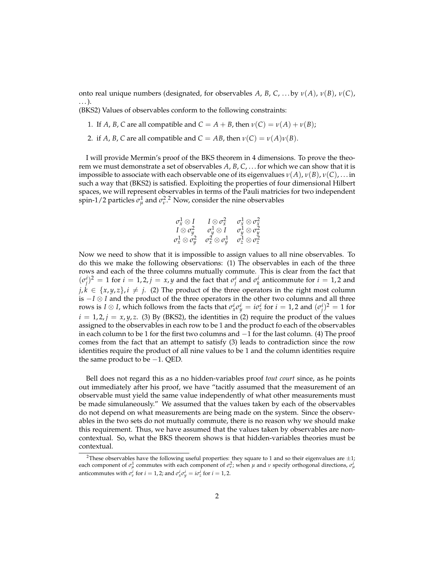onto real unique numbers (designated, for observables *A*, *B*, *C*, . . . by *ν*(*A*), *ν*(*B*), *ν*(*C*), . . . ).

(BKS2) Values of observables conform to the following constraints:

1. If *A*, *B*, *C* are all compatible and  $C = A + B$ , then  $\nu(C) = \nu(A) + \nu(B)$ ;

2. if *A*, *B*, *C* are all compatible and  $C = AB$ , then  $\nu(C) = \nu(A)\nu(B)$ .

I will provide Mermin's proof of the BKS theorem in 4 dimensions. To prove the theorem we must demonstrate a set of observables *A*, *B*, *C*, . . . for which we can show that it is impossible to associate with each observable one of its eigenvalues  $v(A)$ ,  $v(B)$ ,  $v(C)$ , ... in such a way that (BKS2) is satisfied. Exploiting the properties of four dimensional Hilbert spaces, we will represent observables in terms of the Pauli matricies for two independent spin-1/2 particles  $\sigma_{\mu}^1$  and  $\sigma_{\nu}^2$ .<sup>2</sup> Now, consider the nine observables

$$
\begin{array}{ccc} \sigma_x^1 \otimes I & I \otimes \sigma_x^2 & \sigma_x^1 \otimes \sigma_x^2 \\ I \otimes \sigma_y^2 & \sigma_y^1 \otimes I & \sigma_y^1 \otimes \sigma_y^2 \\ \sigma_x^1 \otimes \sigma_y^2 & \sigma_x^2 \otimes \sigma_y^1 & \sigma_z^1 \otimes \sigma_z^2 \end{array}
$$

Now we need to show that it is impossible to assign values to all nine observables. To do this we make the following observations: (1) The observables in each of the three rows and each of the three columns mutually commute. This is clear from the fact that  $(\sigma_j^i)^2 = 1$  for  $i = 1, 2, j = x, y$  and the fact that  $\sigma_j^i$  and  $\sigma_k^i$  anticommute for  $i = 1, 2$  and  $j, k \in \{x, y, z\}, i \neq j$ . (2) The product of the three operators in the right most column is −*I* ⊗ *I* and the product of the three operators in the other two columns and all three rows is *I*  $\otimes$  *I*, which follows from the facts that  $\sigma_x^i \sigma_y^i = i\sigma_z^i$  for  $i = 1, 2$  and  $(\sigma_j^i)^2 = 1$  for  $i = 1, 2, j = x, y, z$ . (3) By (BKS2), the identities in (2) require the product of the values assigned to the observables in each row to be 1 and the product fo each of the observables in each column to be 1 for the first two columns and −1 for the last column. (4) The proof comes from the fact that an attempt to satisfy (3) leads to contradiction since the row identities require the product of all nine values to be 1 and the column identities require the same product to be −1. QED.

Bell does not regard this as a no hidden-variables proof *tout court* since, as he points out immediately after his proof, we have "tacitly assumed that the measurement of an observable must yield the same value independently of what other measurements must be made simulaneously." We assumed that the values taken by each of the observables do not depend on what measurements are being made on the system. Since the observables in the two sets do not mutually commute, there is no reason why we should make this requirement. Thus, we have assumed that the values taken by observables are noncontextual. So, what the BKS theorem shows is that hidden-variables theories must be contextual.

<sup>&</sup>lt;sup>2</sup>These observables have the following useful properties: they square to 1 and so their eigenvalues are  $\pm 1$ ; each component of  $\sigma_\mu^1$  commutes with each component of  $\sigma_v^2$ ; when  $\mu$  and  $\nu$  specify orthogonal directions,  $\sigma_\mu^i$ anticommutes with  $\sigma_v^i$  for  $i = 1, 2$ ; and  $\sigma_x^i \sigma_y^i = i \sigma_z^i$  for  $i = 1, 2$ .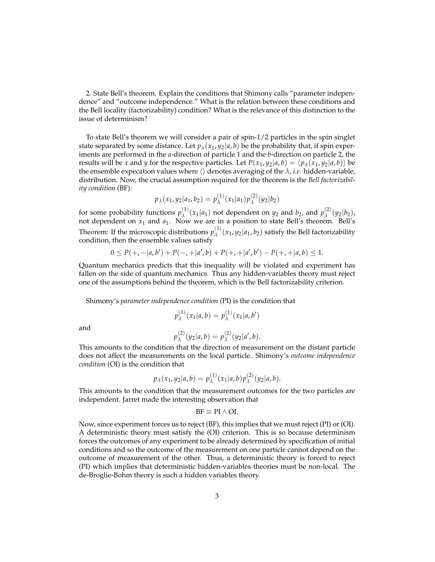2. State Bell's theorem. Explain the conditions that Shimony calls "parameter independence" and "outcome independence." What is the relation between these conditions and the Bell locality (factorizability) condition? What is the relevance of this distinction to the issue of determinism?

To state Bell's theorem we will consider a pair of spin-1/2 particles in the spin singlet state separated by some distance. Let  $p_{\lambda}(x_1, y_2|a, b)$  be the probability that, if spin experiments are performed in the *a*-direction of particle 1 and the *b*-direction on particle 2, the results will be *x* and *y* for the respective particles. Let  $P(x_1, y_2|a, b) = \langle p_\lambda(x_1, y_2|a, b) \rangle$  be the ensemble expecation values where  $\langle \rangle$  denotes averaging of the  $\lambda$ , *i.e.* hidden-variable, distribution. Now, the crucial assumption required for the theorem is the *Bell factorizability condition* (BF):

$$
p_{\lambda}(x_1, y_2|a_1, b_2) = p_{\lambda}^{(1)}(x_1|a_1) p_{\lambda}^{(2)}(y_2|b_2)
$$

for some probability functions  $p_{\lambda}^{(1)}$  $\lambda^{(1)}(x_1|a_1)$  not dependent on  $y_2$  and  $b_2$ , and  $p_\lambda^{(2)}$ *λ* (*y*2|*b*2), not dependent on *x*<sup>1</sup> and *a*1. Now we are in a position to state Bell's theorem. Bell's Theorem: If the microscopic distributions  $p_{\lambda}^{(1)}$  $\lambda^{(1)}(x_1, y_2|a_1, b_2)$  satisfy the Bell factorizability condition, then the ensemble values satisfy

$$
0 \le P(+,-|a,b'|) + P(-,+|a',b) + P(+,+|a',b') - P(+,+|a,b) \le 1.
$$

Quantum mechanics predicts that this inequality will be violated and experiment has fallen on the side of quantum mechanics. Thus any hidden-variables theory must reject one of the assumptions behind the theorem, which is the Bell factorizability criterion.

Shimony's *parameter independence condition* (PI) is the condition that

$$
p_{\lambda}^{(1)}(x_1|a,b) = p_{\lambda}^{(1)}(x_1|a,b')
$$

and

$$
p_{\lambda}^{(2)}(y_2|a,b) = p_{\lambda}^{(2)}(y_2|a',b).
$$

This amounts to the condition that the direction of measurement on the distant particle does not affect the measurements on the local particle. Shimony's *outcome independence condition* (OI) is the condition that

$$
p_{\lambda}(x_1,y_2|a,b)=p_{\lambda}^{(1)}(x_1|a,b)p_{\lambda}^{(2)}(y_2|a,b).
$$

This amounts to the condition that the measurement outcomes for the two particles are independent. Jarret made the interesting observation that

$$
BF \equiv PI \wedge OI.
$$

Now, since experiment forces us to reject (BF), this implies that we must reject (PI) or (OI). A deterministic theory must satisfy the (OI) criterion. This is so because determinism forces the outcomes of any experiment to be already determined by specification of initial conditions and so the outcome of the measurement on one particle cannot depend on the outcome of measurement of the other. Thus, a deterministic theory is forced to reject (PI) which implies that deterministic hidden-variables theories must be non-local. The de-Broglie-Bohm theory is such a hidden variables theory.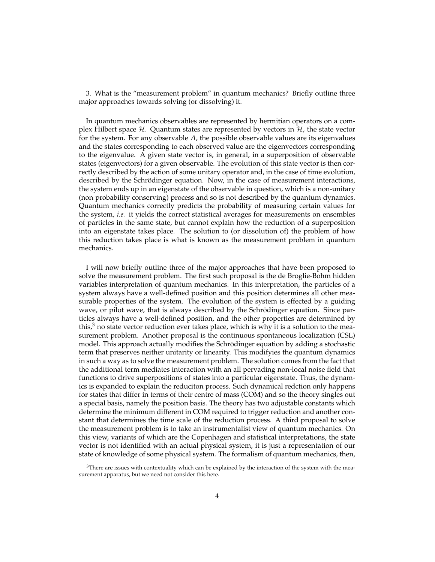3. What is the "measurement problem" in quantum mechanics? Briefly outline three major approaches towards solving (or dissolving) it.

In quantum mechanics observables are represented by hermitian operators on a complex Hilbert space  $\mathcal{H}$ . Quantum states are represented by vectors in  $\mathcal{H}$ , the state vector for the system. For any observable *A*, the possible observable values are its eigenvalues and the states corresponding to each observed value are the eigenvectors corresponding to the eigenvalue. A given state vector is, in general, in a superposition of observable states (eigenvectors) for a given observable. The evolution of this state vector is then correctly described by the action of some unitary operator and, in the case of time evolution, described by the Schrödinger equation. Now, in the case of measurement interactions, the system ends up in an eigenstate of the observable in question, which is a non-unitary (non probability conserving) process and so is not described by the quantum dynamics. Quantum mechanics correctly predicts the probability of measuring certain values for the system, *i.e.* it yields the correct statistical averages for measurements on ensembles of particles in the same state, but cannot explain how the reduction of a superposition into an eigenstate takes place. The solution to (or dissolution of) the problem of how this reduction takes place is what is known as the measurement problem in quantum mechanics.

I will now briefly outline three of the major approaches that have been proposed to solve the measurement problem. The first such proposal is the de Broglie-Bohm hidden variables interpretation of quantum mechanics. In this interpretation, the particles of a system always have a well-defined position and this position determines all other measurable properties of the system. The evolution of the system is effected by a guiding wave, or pilot wave, that is always described by the Schrödinger equation. Since particles always have a well-defined position, and the other properties are determined by this, $3$  no state vector reduction ever takes place, which is why it is a solution to the measurement problem. Another proposal is the continuous spontaneous localization (CSL) model. This approach actually modifies the Schrödinger equation by adding a stochastic term that preserves neither unitarity or linearity. This modifyies the quantum dynamics in such a way as to solve the measurement problem. The solution comes from the fact that the additional term mediates interaction with an all pervading non-local noise field that functions to drive superpositions of states into a particular eigenstate. Thus, the dynamics is expanded to explain the reduciton process. Such dynamical redction only happens for states that differ in terms of their centre of mass (COM) and so the theory singles out a special basis, namely the position basis. The theory has two adjustable constants which determine the minimum different in COM required to trigger reduction and another constant that determines the time scale of the reduction process. A third proposal to solve the measurement problem is to take an instrumentalist view of quantum mechanics. On this view, variants of which are the Copenhagen and statistical interpretations, the state vector is not identified with an actual physical system, it is just a representation of our state of knowledge of some physical system. The formalism of quantum mechanics, then,

 $3$ There are issues with contextuality which can be explained by the interaction of the system with the measurement apparatus, but we need not consider this here.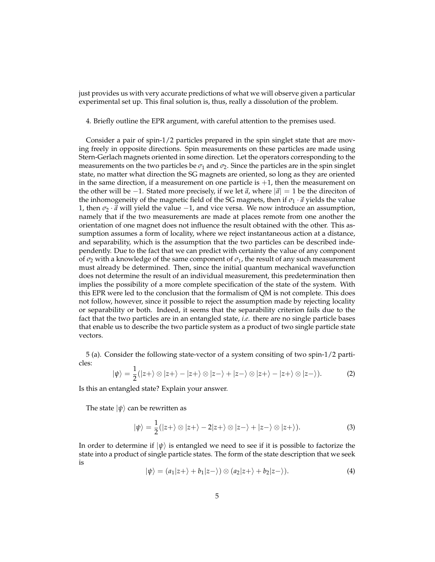just provides us with very accurate predictions of what we will observe given a particular experimental set up. This final solution is, thus, really a dissolution of the problem.

4. Briefly outline the EPR argument, with careful attention to the premises used.

Consider a pair of spin-1/2 particles prepared in the spin singlet state that are moving freely in opposite directions. Spin measurements on these particles are made using Stern-Gerlach magnets oriented in some direction. Let the operators corresponding to the measurements on the two particles be  $\sigma_1$  and  $\sigma_2$ . Since the particles are in the spin singlet state, no matter what direction the SG magnets are oriented, so long as they are oriented in the same direction, if a measurement on one particle is  $+1$ , then the measurement on the other will be  $-1$ . Stated more precisely, if we let  $\vec{a}$ , where  $|\vec{a}| = 1$  be the direciton of the inhomogeneity of the magnetic field of the SG magnets, then if  $\sigma_1 \cdot \vec{a}$  yields the value 1, then  $\sigma_2 \cdot \vec{a}$  will yield the value  $-1$ , and vice versa. We now introduce an assumption, namely that if the two measurements are made at places remote from one another the orientation of one magnet does not influence the result obtained with the other. This assumption assumes a form of locality, where we reject instantaneous action at a distance, and separability, which is the assumption that the two particles can be described independently. Due to the fact that we can predict with certainty the value of any component of  $\sigma_2$  with a knowledge of the same component of  $\sigma_1$ , the result of any such measurement must already be determined. Then, since the initial quantum mechanical wavefunction does not determine the result of an individual measurement, this predetermination then implies the possibility of a more complete specification of the state of the system. With this EPR were led to the conclusion that the formalism of QM is not complete. This does not follow, however, since it possible to reject the assumption made by rejecting locality or separability or both. Indeed, it seems that the separability criterion fails due to the fact that the two particles are in an entangled state, *i.e.* there are no single particle bases that enable us to describe the two particle system as a product of two single particle state vectors.

5 (a). Consider the following state-vector of a system consiting of two spin-1/2 particles:

$$
|\psi\rangle = \frac{1}{2}(|z+\rangle \otimes |z+\rangle - |z+\rangle \otimes |z-\rangle + |z-\rangle \otimes |z+\rangle - |z+\rangle \otimes |z-\rangle).
$$
 (2)

Is this an entangled state? Explain your answer.

The state  $|\psi\rangle$  can be rewritten as

$$
|\psi\rangle = \frac{1}{2}(|z+\rangle \otimes |z+\rangle - 2|z+\rangle \otimes |z-\rangle + |z-\rangle \otimes |z+\rangle).
$$
 (3)

In order to determine if  $|\psi\rangle$  is entangled we need to see if it is possible to factorize the state into a product of single particle states. The form of the state description that we seek is

$$
|\psi\rangle = (a_1|z+\rangle + b_1|z-\rangle) \otimes (a_2|z+\rangle + b_2|z-\rangle). \tag{4}
$$